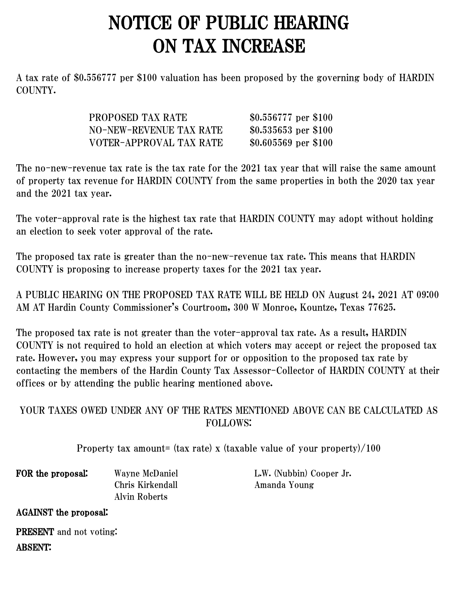## NOTICE OF PUBLIC HEARING ON TAX INCREASE

A tax rate of \$0.556777 per \$100 valuation has been proposed by the governing body of HARDIN COUNTY.

| PROPOSED TAX RATE       | \$0.556777 per \$100 |
|-------------------------|----------------------|
| NO-NEW-REVENUE TAX RATE | \$0.535653 per \$100 |
| VOTER-APPROVAL TAX RATE | \$0.605569 per \$100 |

The no-new-revenue tax rate is the tax rate for the 2021 tax year that will raise the same amount of property tax revenue for HARDIN COUNTY from the same properties in both the 2020 tax year and the 2021 tax year.

The voter-approval rate is the highest tax rate that HARDIN COUNTY may adopt without holding an election to seek voter approval of the rate.

The proposed tax rate is greater than the no-new-revenue tax rate. This means that HARDIN COUNTY is proposing to increase property taxes for the 2021 tax year.

A PUBLIC HEARING ON THE PROPOSED TAX RATE WILL BE HELD ON August 24, 2021 AT 09:00 AM AT Hardin County Commissioner's Courtroom, 300 W Monroe, Kountze, Texas 77625.

The proposed tax rate is not greater than the voter-approval tax rate. As a result, HARDIN COUNTY is not required to hold an election at which voters may accept or reject the proposed tax rate. However, you may express your support for or opposition to the proposed tax rate by contacting the members of the Hardin County Tax Assessor-Collector of HARDIN COUNTY at their offices or by attending the public hearing mentioned above.

## YOUR TAXES OWED UNDER ANY OF THE RATES MENTIONED ABOVE CAN BE CALCULATED AS FOLLOWS:

Property tax amount= (tax rate) x (taxable value of your property)/100

FOR the proposal: Wayne McDaniel L.W. (Nubbin) Cooper Jr. Alvin Roberts

Chris Kirkendall Amanda Young

AGAINST the proposal:

PRESENT and not voting: ABSENT: